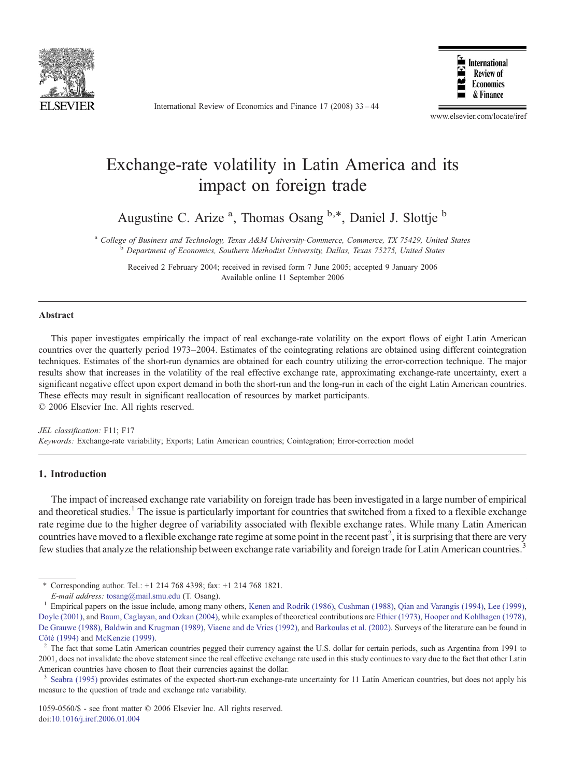

International Review of Economics and Finance 17 (2008) 33–44



www.elsevier.com/locate/iref

## Exchange-rate volatility in Latin America and its impact on foreign trade

Augustine C. Arize <sup>a</sup>, Thomas Osang <sup>b,\*</sup>, Daniel J. Slottje <sup>b</sup>

<sup>a</sup> College of Business and Technology, Texas A&M University-Commerce, Commerce, TX 75429, United States b Department of Economics, Southern Methodist University, Dallas, Texas 75275, United States

Received 2 February 2004; received in revised form 7 June 2005; accepted 9 January 2006 Available online 11 September 2006

#### Abstract

This paper investigates empirically the impact of real exchange-rate volatility on the export flows of eight Latin American countries over the quarterly period 1973–2004. Estimates of the cointegrating relations are obtained using different cointegration techniques. Estimates of the short-run dynamics are obtained for each country utilizing the error-correction technique. The major results show that increases in the volatility of the real effective exchange rate, approximating exchange-rate uncertainty, exert a significant negative effect upon export demand in both the short-run and the long-run in each of the eight Latin American countries. These effects may result in significant reallocation of resources by market participants. © 2006 Elsevier Inc. All rights reserved.

JEL classification: F11; F17 Keywords: Exchange-rate variability; Exports; Latin American countries; Cointegration; Error-correction model

### 1. Introduction

The impact of increased exchange rate variability on foreign trade has been investigated in a large number of empirical and theoretical studies.<sup>1</sup> The issue is particularly important for countries that switched from a fixed to a flexible exchange rate regime due to the higher degree of variability associated with flexible exchange rates. While many Latin American countries have moved to a flexible exchange rate regime at some point in the recent past<sup>2</sup>, it is surprising that there are very few studies that analyze the relationship between exchange rate variability and foreign trade for Latin American countries.<sup>3</sup>

1059-0560/\$ - see front matter © 2006 Elsevier Inc. All rights reserved. doi[:10.1016/j.iref.2006.01.004](http://dx.doi.org/10.1016/j.iref.2006.01.004)

<sup>⁎</sup> Corresponding author. Tel.: +1 214 768 4398; fax: +1 214 768 1821.

E-mail address: [tosang@mail.smu.edu](mailto:tosang@mail.smu.edu) (T. Osang).<br><sup>1</sup> Empirical papers on the issue include, among many others, [Kenen and Rodrik \(1986\)](#page--1-0), [Cushman \(1988\)](#page--1-0), Oian and Varangis (1994), [Lee \(1999\)](#page--1-0), [Doyle \(2001\),](#page--1-0) and [Baum, Caglayan, and Ozkan \(2004\)](#page--1-0), while examples of theoretical contributions are [Ethier \(1973\),](#page--1-0) [Hooper and Kohlhagen \(1978\)](#page--1-0),

[De Grauwe \(1988\),](#page--1-0) [Baldwin and Krugman \(1989\)](#page--1-0), [Viaene and de Vries \(1992\)](#page--1-0), and [Barkoulas et al. \(2002\)](#page--1-0). Surveys of the literature can be found in [Côté \(1994\)](#page--1-0) and [McKenzie \(1999\).](#page--1-0)<br><sup>2</sup> The fact that some Latin American countries pegged their currency against the U.S. dollar for certain periods, such as Argentina from 1991 to

<sup>2001,</sup> does not invalidate the above statement since the real effective exchange rate used in this study continues to vary due to the fact that other Latin American countries have chosen to float their currencies against the dollar.

[Seabra \(1995\)](#page--1-0) provides estimates of the expected short-run exchange-rate uncertainty for 11 Latin American countries, but does not apply his measure to the question of trade and exchange rate variability.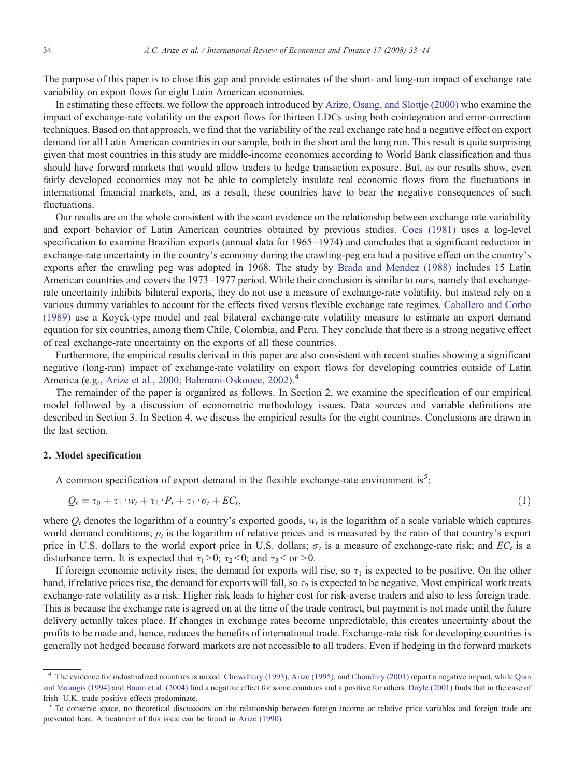The purpose of this paper is to close this gap and provide estimates of the short- and long-run impact of exchange rate variability on export flows for eight Latin American economies.

In estimating these effects, we follow the approach introduced by [Arize, Osang, and Slottje \(2000\)](#page--1-0) who examine the impact of exchange-rate volatility on the export flows for thirteen LDCs using both cointegration and error-correction techniques. Based on that approach, we find that the variability of the real exchange rate had a negative effect on export demand for all Latin American countries in our sample, both in the short and the long run. This result is quite surprising given that most countries in this study are middle-income economies according to World Bank classification and thus should have forward markets that would allow traders to hedge transaction exposure. But, as our results show, even fairly developed economies may not be able to completely insulate real economic flows from the fluctuations in international financial markets, and, as a result, these countries have to bear the negative consequences of such fluctuations.

Our results are on the whole consistent with the scant evidence on the relationship between exchange rate variability and export behavior of Latin American countries obtained by previous studies. [Coes \(1981\)](#page--1-0) uses a log-level specification to examine Brazilian exports (annual data for 1965–1974) and concludes that a significant reduction in exchange-rate uncertainty in the country's economy during the crawling-peg era had a positive effect on the country's exports after the crawling peg was adopted in 1968. The study by [Brada and Mendez \(1988\)](#page--1-0) includes 15 Latin American countries and covers the 1973–1977 period. While their conclusion is similar to ours, namely that exchangerate uncertainty inhibits bilateral exports, they do not use a measure of exchange-rate volatility, but instead rely on a various dummy variables to account for the effects fixed versus flexible exchange rate regimes. [Caballero and Corbo](#page--1-0) [\(1989\)](#page--1-0) use a Koyck-type model and real bilateral exchange-rate volatility measure to estimate an export demand equation for six countries, among them Chile, Colombia, and Peru. They conclude that there is a strong negative effect of real exchange-rate uncertainty on the exports of all these countries.

Furthermore, the empirical results derived in this paper are also consistent with recent studies showing a significant negative (long-run) impact of exchange-rate volatility on export flows for developing countries outside of Latin America (e.g., [Arize et al., 2000; Bahmani-Oskooee, 2002\)](#page--1-0).<sup>4</sup>

The remainder of the paper is organized as follows. In Section 2, we examine the specification of our empirical model followed by a discussion of econometric methodology issues. Data sources and variable definitions are described in Section 3. In Section 4, we discuss the empirical results for the eight countries. Conclusions are drawn in the last section.

### 2. Model specification

A common specification of export demand in the flexible exchange-rate environment is<sup>5</sup>:

$$
Q_t = \tau_0 + \tau_1 \cdot w_t + \tau_2 \cdot P_t + \tau_3 \cdot \sigma_t + EC_t,
$$
\n<sup>(1)</sup>

where  $Q_t$  denotes the logarithm of a country's exported goods,  $w_t$  is the logarithm of a scale variable which captures world demand conditions;  $p_t$  is the logarithm of relative prices and is measured by the ratio of that country's export price in U.S. dollars to the world export price in U.S. dollars;  $\sigma_t$  is a measure of exchange-rate risk; and  $EC_t$  is a disturbance term. It is expected that  $\tau_1>0$ ;  $\tau_2<0$ ; and  $\tau_3<\sigma_1>0$ .

If foreign economic activity rises, the demand for exports will rise, so  $\tau_1$  is expected to be positive. On the other hand, if relative prices rise, the demand for exports will fall, so  $\tau_2$  is expected to be negative. Most empirical work treats exchange-rate volatility as a risk: Higher risk leads to higher cost for risk-averse traders and also to less foreign trade. This is because the exchange rate is agreed on at the time of the trade contract, but payment is not made until the future delivery actually takes place. If changes in exchange rates become unpredictable, this creates uncertainty about the profits to be made and, hence, reduces the benefits of international trade. Exchange-rate risk for developing countries is generally not hedged because forward markets are not accessible to all traders. Even if hedging in the forward markets

<sup>4</sup> The evidence for industrialized countries is mixed. [Chowdhury \(1993\)](#page--1-0), [Arize \(1995\),](#page--1-0) and [Choudhry \(2001\)](#page--1-0) report a negative impact, while [Qian](#page--1-0) [and Varangis \(1994\)](#page--1-0) and [Baum et al. \(2004\)](#page--1-0) find a negative effect for some countries and a positive for others. [Doyle \(2001\)](#page--1-0) finds that in the case of Irish–U.K. trade positive effects predominate.<br><sup>5</sup> To conserve space, no theoretical discussions on the relationship between foreign income or relative price variables and foreign trade are

presented here. A treatment of this issue can be found in [Arize \(1990\).](#page--1-0)